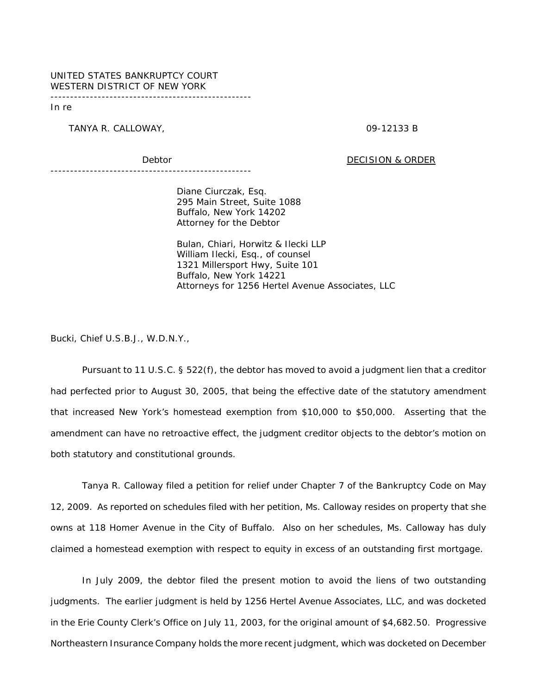## UNITED STATES BANKRUPTCY COURT WESTERN DISTRICT OF NEW YORK

---------------------------------------------------

In re

TANYA R. CALLOWAY, **2008 CALLOWAY,** 2009-12133 B

Debtor Debtor DECISION & ORDER

---------------------------------------------------

Diane Ciurczak, Esq. 295 Main Street, Suite 1088 Buffalo, New York 14202 Attorney for the Debtor

Bulan, Chiari, Horwitz & Ilecki LLP William Ilecki, Esq., of counsel 1321 Millersport Hwy, Suite 101 Buffalo, New York 14221 Attorneys for 1256 Hertel Avenue Associates, LLC

Bucki, Chief U.S.B.J., W.D.N.Y.,

Pursuant to 11 U.S.C. § 522(f), the debtor has moved to avoid a judgment lien that a creditor had perfected prior to August 30, 2005, that being the effective date of the statutory amendment that increased New York's homestead exemption from \$10,000 to \$50,000. Asserting that the amendment can have no retroactive effect, the judgment creditor objects to the debtor's motion on both statutory and constitutional grounds.

Tanya R. Calloway filed a petition for relief under Chapter 7 of the Bankruptcy Code on May 12, 2009. As reported on schedules filed with her petition, Ms. Calloway resides on property that she owns at 118 Homer Avenue in the City of Buffalo. Also on her schedules, Ms. Calloway has duly claimed a homestead exemption with respect to equity in excess of an outstanding first mortgage.

In July 2009, the debtor filed the present motion to avoid the liens of two outstanding judgments. The earlier judgment is held by 1256 Hertel Avenue Associates, LLC, and was docketed in the Erie County Clerk's Office on July 11, 2003, for the original amount of \$4,682.50. Progressive Northeastern Insurance Company holds the more recent judgment, which was docketed on December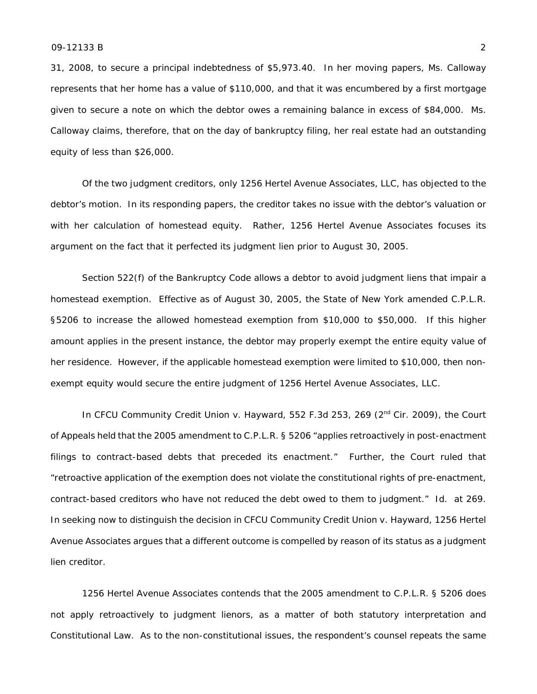31, 2008, to secure a principal indebtedness of \$5,973.40. In her moving papers, Ms. Calloway represents that her home has a value of \$110,000, and that it was encumbered by a first mortgage given to secure a note on which the debtor owes a remaining balance in excess of \$84,000. Ms. Calloway claims, therefore, that on the day of bankruptcy filing, her real estate had an outstanding equity of less than \$26,000.

Of the two judgment creditors, only 1256 Hertel Avenue Associates, LLC, has objected to the debtor's motion. In its responding papers, the creditor takes no issue with the debtor's valuation or with her calculation of homestead equity. Rather, 1256 Hertel Avenue Associates focuses its argument on the fact that it perfected its judgment lien prior to August 30, 2005.

Section 522(f) of the Bankruptcy Code allows a debtor to avoid judgment liens that impair a homestead exemption. Effective as of August 30, 2005, the State of New York amended C.P.L.R. §5206 to increase the allowed homestead exemption from \$10,000 to \$50,000. If this higher amount applies in the present instance, the debtor may properly exempt the entire equity value of her residence. However, if the applicable homestead exemption were limited to \$10,000, then nonexempt equity would secure the entire judgment of 1256 Hertel Avenue Associates, LLC.

In *CFCU Community Credit Union v. Hayward*, 552 F.3d 253, 269 (2<sup>nd</sup> Cir. 2009), the Court of Appeals held that the 2005 amendment to C.P.L.R. § 5206 "applies retroactively in post-enactment filings to contract-based debts that preceded its enactment." Further, the Court ruled that "retroactive application of the exemption does not violate the constitutional rights of pre-enactment, contract-based creditors who have not reduced the debt owed to them to judgment." *Id.* at 269. In seeking now to distinguish the decision in *CFCU Community Credit Union v. Hayward*, 1256 Hertel Avenue Associates argues that a different outcome is compelled by reason of its status as a judgment lien creditor.

1256 Hertel Avenue Associates contends that the 2005 amendment to C.P.L.R. § 5206 does not apply retroactively to judgment lienors, as a matter of both statutory interpretation and Constitutional Law. As to the non-constitutional issues, the respondent's counsel repeats the same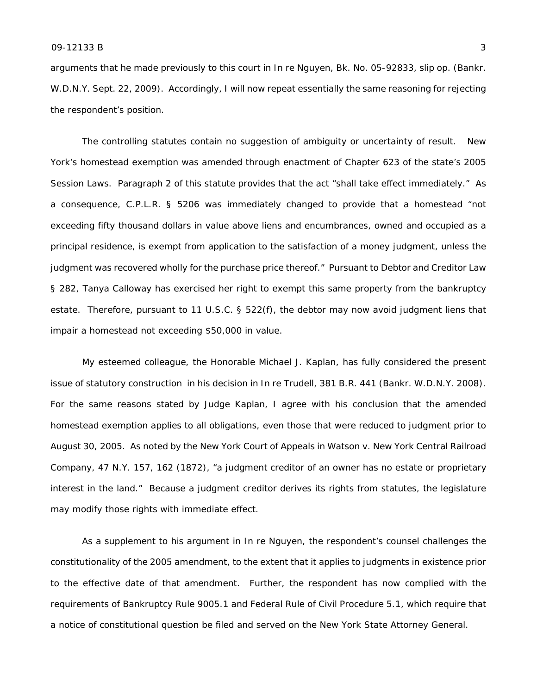arguments that he made previously to this court in *In re Nguyen*, Bk. No. 05-92833, slip op. (Bankr. W.D.N.Y. Sept. 22, 2009). Accordingly, I will now repeat essentially the same reasoning for rejecting the respondent's position.

The controlling statutes contain no suggestion of ambiguity or uncertainty of result. New York's homestead exemption was amended through enactment of Chapter 623 of the state's 2005 Session Laws. Paragraph 2 of this statute provides that the act "shall take effect immediately." As a consequence, C.P.L.R. § 5206 was immediately changed to provide that a homestead "not exceeding fifty thousand dollars in value above liens and encumbrances, owned and occupied as a principal residence, is exempt from application to the satisfaction of a money judgment, unless the judgment was recovered wholly for the purchase price thereof." Pursuant to Debtor and Creditor Law § 282, Tanya Calloway has exercised her right to exempt this same property from the bankruptcy estate. Therefore, pursuant to 11 U.S.C. § 522(f), the debtor may now avoid judgment liens that impair a homestead not exceeding \$50,000 in value.

My esteemed colleague, the Honorable Michael J. Kaplan, has fully considered the present issue of statutory construction in his decision in *In re Trudell*, 381 B.R. 441 (Bankr. W.D.N.Y. 2008). For the same reasons stated by Judge Kaplan, I agree with his conclusion that the amended homestead exemption applies to all obligations, even those that were reduced to judgment prior to August 30, 2005. As noted by the New York Court of Appeals in *Watson v. New York Central Railroad Company*, 47 N.Y. 157, 162 (1872), "a judgment creditor of an owner has no estate or proprietary interest in the land." Because a judgment creditor derives its rights from statutes, the legislature may modify those rights with immediate effect.

As a supplement to his argument in *In re Nguyen,* the respondent's counsel challenges the constitutionality of the 2005 amendment, to the extent that it applies to judgments in existence prior to the effective date of that amendment. Further, the respondent has now complied with the requirements of Bankruptcy Rule 9005.1 and Federal Rule of Civil Procedure 5.1, which require that a notice of constitutional question be filed and served on the New York State Attorney General.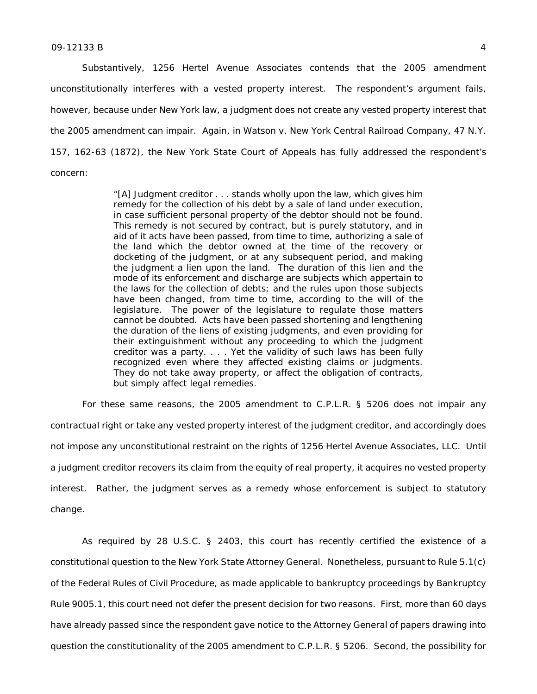## $09-12133 B$  4

Substantively, 1256 Hertel Avenue Associates contends that the 2005 amendment unconstitutionally interferes with a vested property interest. The respondent's argument fails, however, because under New York law, a judgment does not create any vested property interest that the 2005 amendment can impair. Again, in *Watson v. New York Central Railroad Company*, 47 N.Y. 157, 162-63 (1872), the New York State Court of Appeals has fully addressed the respondent's concern:

> "[A] Judgment creditor . . . stands wholly upon the law, which gives him remedy for the collection of his debt by a sale of land under execution, in case sufficient personal property of the debtor should not be found. This remedy is not secured by contract, but is purely statutory, and in aid of it acts have been passed, from time to time, authorizing a sale of the land which the debtor owned at the time of the recovery or docketing of the judgment, or at any subsequent period, and making the judgment a lien upon the land. The duration of this lien and the mode of its enforcement and discharge are subjects which appertain to the laws for the collection of debts; and the rules upon those subjects have been changed, from time to time, according to the will of the legislature. The power of the legislature to regulate those matters cannot be doubted. Acts have been passed shortening and lengthening the duration of the liens of existing judgments, and even providing for their extinguishment without any proceeding to which the judgment creditor was a party. . . . Yet the validity of such laws has been fully recognized even where they affected existing claims or judgments. They do not take away property, or affect the obligation of contracts, but simply affect legal remedies.

For these same reasons, the 2005 amendment to C.P.L.R. § 5206 does not impair any contractual right or take any vested property interest of the judgment creditor, and accordingly does not impose any unconstitutional restraint on the rights of 1256 Hertel Avenue Associates, LLC. Until a judgment creditor recovers its claim from the equity of real property, it acquires no vested property interest. Rather, the judgment serves as a remedy whose enforcement is subject to statutory change.

As required by 28 U.S.C. § 2403, this court has recently certified the existence of a constitutional question to the New York State Attorney General. Nonetheless, pursuant to Rule 5.1(c) of the Federal Rules of Civil Procedure, as made applicable to bankruptcy proceedings by Bankruptcy Rule 9005.1, this court need not defer the present decision for two reasons. First, more than 60 days have already passed since the respondent gave notice to the Attorney General of papers drawing into question the constitutionality of the 2005 amendment to C.P.L.R. § 5206. Second, the possibility for